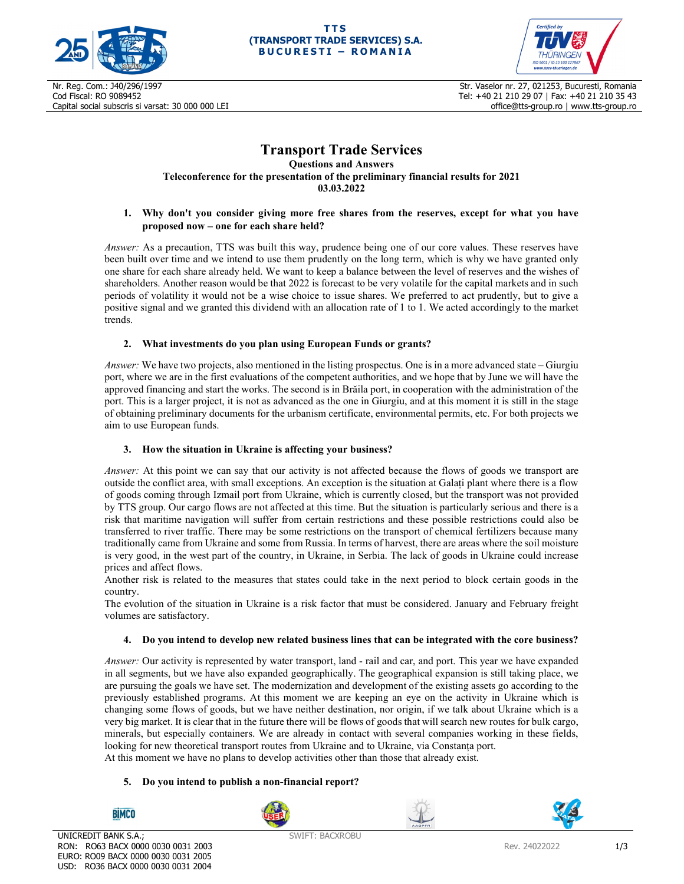



Nr. Reg. Com.: J40/296/1997 Cod Fiscal: RO 9089452 Capital social subscris si varsat: 30 000 000 LEI

Str. Vaselor nr. 27, 021253, Bucuresti, Romania Tel: +40 21 210 29 07 | Fax: +40 21 210 35 43 office@tts-group.ro | www.tts-group.ro

# **Transport Trade Services**

**Questions and Answers Teleconference for the presentation of the preliminary financial results for 2021 03.03.2022** 

## **1. Why don't you consider giving more free shares from the reserves, except for what you have proposed now – one for each share held?**

*Answer:* As a precaution, TTS was built this way, prudence being one of our core values. These reserves have been built over time and we intend to use them prudently on the long term, which is why we have granted only one share for each share already held. We want to keep a balance between the level of reserves and the wishes of shareholders. Another reason would be that 2022 is forecast to be very volatile for the capital markets and in such periods of volatility it would not be a wise choice to issue shares. We preferred to act prudently, but to give a positive signal and we granted this dividend with an allocation rate of 1 to 1. We acted accordingly to the market trends.

## **2. What investments do you plan using European Funds or grants?**

*Answer:* We have two projects, also mentioned in the listing prospectus. One is in a more advanced state – Giurgiu port, where we are in the first evaluations of the competent authorities, and we hope that by June we will have the approved financing and start the works. The second is in Brăila port, in cooperation with the administration of the port. This is a larger project, it is not as advanced as the one in Giurgiu, and at this moment it is still in the stage of obtaining preliminary documents for the urbanism certificate, environmental permits, etc. For both projects we aim to use European funds.

# **3. How the situation in Ukraine is affecting your business?**

*Answer:* At this point we can say that our activity is not affected because the flows of goods we transport are outside the conflict area, with small exceptions. An exception is the situation at Galați plant where there is a flow of goods coming through Izmail port from Ukraine, which is currently closed, but the transport was not provided by TTS group. Our cargo flows are not affected at this time. But the situation is particularly serious and there is a risk that maritime navigation will suffer from certain restrictions and these possible restrictions could also be transferred to river traffic. There may be some restrictions on the transport of chemical fertilizers because many traditionally came from Ukraine and some from Russia. In terms of harvest, there are areas where the soil moisture is very good, in the west part of the country, in Ukraine, in Serbia. The lack of goods in Ukraine could increase prices and affect flows.

Another risk is related to the measures that states could take in the next period to block certain goods in the country.

The evolution of the situation in Ukraine is a risk factor that must be considered. January and February freight volumes are satisfactory.

#### **4. Do you intend to develop new related business lines that can be integrated with the core business?**

*Answer:* Our activity is represented by water transport, land - rail and car, and port. This year we have expanded in all segments, but we have also expanded geographically. The geographical expansion is still taking place, we are pursuing the goals we have set. The modernization and development of the existing assets go according to the previously established programs. At this moment we are keeping an eye on the activity in Ukraine which is changing some flows of goods, but we have neither destination, nor origin, if we talk about Ukraine which is a very big market. It is clear that in the future there will be flows of goods that will search new routes for bulk cargo, minerals, but especially containers. We are already in contact with several companies working in these fields, looking for new theoretical transport routes from Ukraine and to Ukraine, via Constanța port. At this moment we have no plans to develop activities other than those that already exist.

#### **5. Do you intend to publish a non-financial report?**



UNICREDIT BANK S.A.; RON: RO63 BACX 0000 0030 0031 2003 EURO: RO09 BACX 0000 0030 0031 2005 USD: RO36 BACX 0000 0030 0031 2004

**BİMCO** 

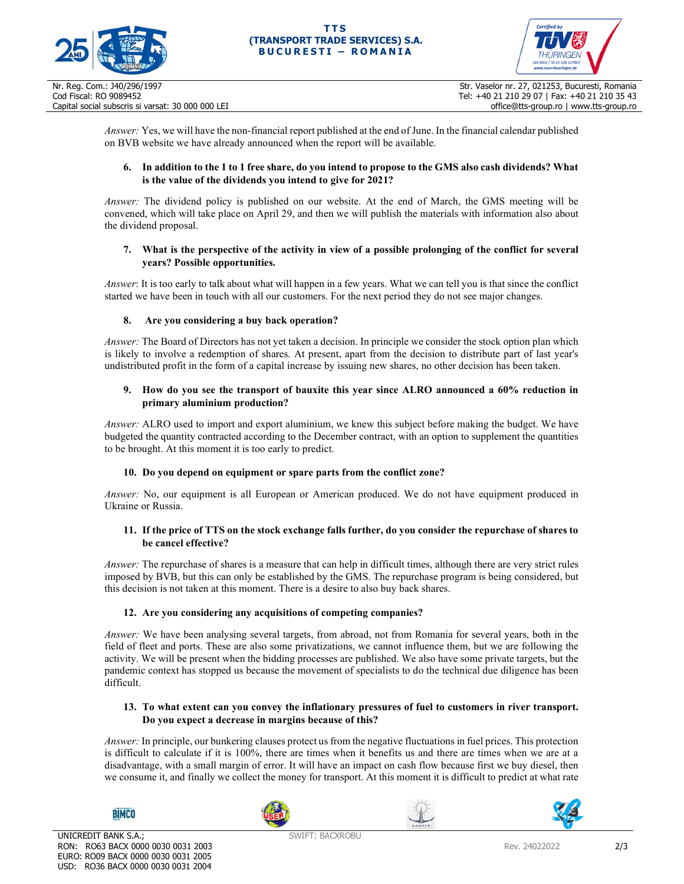



*Answer:* Yes, we will have the non-financial report published at the end of June. In the financial calendar published on BVB website we have already announced when the report will be available.

# **6. In addition to the 1 to 1 free share, do you intend to propose to the GMS also cash dividends? What is the value of the dividends you intend to give for 2021?**

*Answer:* The dividend policy is published on our website. At the end of March, the GMS meeting will be convened, which will take place on April 29, and then we will publish the materials with information also about the dividend proposal.

# **7. What is the perspective of the activity in view of a possible prolonging of the conflict for several years? Possible opportunities.**

*Answer*: It is too early to talk about what will happen in a few years. What we can tell you is that since the conflict started we have been in touch with all our customers. For the next period they do not see major changes.

# **8. Are you considering a buy back operation?**

*Answer:* The Board of Directors has not yet taken a decision. In principle we consider the stock option plan which is likely to involve a redemption of shares. At present, apart from the decision to distribute part of last year's undistributed profit in the form of a capital increase by issuing new shares, no other decision has been taken.

#### **9. How do you see the transport of bauxite this year since ALRO announced a 60% reduction in primary aluminium production?**

*Answer:* ALRO used to import and export aluminium, we knew this subject before making the budget. We have budgeted the quantity contracted according to the December contract, with an option to supplement the quantities to be brought. At this moment it is too early to predict.

# **10. Do you depend on equipment or spare parts from the conflict zone?**

*Answer:* No, our equipment is all European or American produced. We do not have equipment produced in Ukraine or Russia.

## **11. If the price of TTS on the stock exchange falls further, do you consider the repurchase of shares to be cancel effective?**

*Answer:* The repurchase of shares is a measure that can help in difficult times, although there are very strict rules imposed by BVB, but this can only be established by the GMS. The repurchase program is being considered, but this decision is not taken at this moment. There is a desire to also buy back shares.

# **12. Are you considering any acquisitions of competing companies?**

*Answer:* We have been analysing several targets, from abroad, not from Romania for several years, both in the field of fleet and ports. These are also some privatizations, we cannot influence them, but we are following the activity. We will be present when the bidding processes are published. We also have some private targets, but the pandemic context has stopped us because the movement of specialists to do the technical due diligence has been difficult.

## **13. To what extent can you convey the inflationary pressures of fuel to customers in river transport. Do you expect a decrease in margins because of this?**

*Answer:* In principle, our bunkering clauses protect us from the negative fluctuations in fuel prices. This protection is difficult to calculate if it is 100%, there are times when it benefits us and there are times when we are at a disadvantage, with a small margin of error. It will have an impact on cash flow because first we buy diesel, then we consume it, and finally we collect the money for transport. At this moment it is difficult to predict at what rate





**BIMCO**